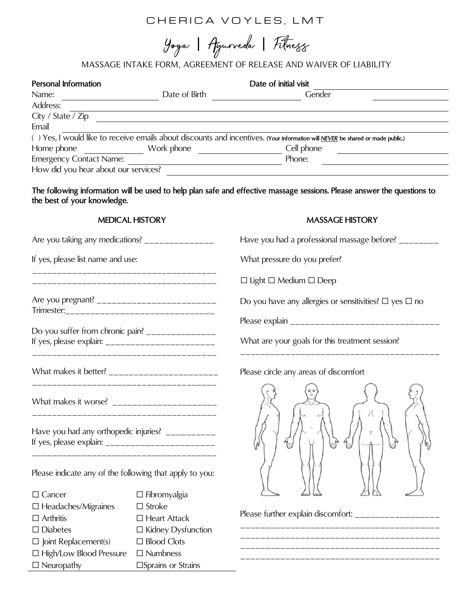# CHERICA VOYLES, LMT

Yoga | Aguneda | Fitness

## MASSAGE INTAKE FORM, AGREEMENT OF RELEASE AND WAIVER OF LIABILITY

| Personal Information                 |               | Date of initial visit                                                                                                          |  |  |
|--------------------------------------|---------------|--------------------------------------------------------------------------------------------------------------------------------|--|--|
| Name:                                | Date of Birth | Gender                                                                                                                         |  |  |
| Address:                             |               |                                                                                                                                |  |  |
| City / State / Zip                   |               |                                                                                                                                |  |  |
| Email                                |               |                                                                                                                                |  |  |
|                                      |               | () Yes, I would like to receive emails about discounts and incentives. (Your information will NEVER be shared or made public.) |  |  |
| Home phone                           | Work phone    | Cell phone                                                                                                                     |  |  |
| <b>Emergency Contact Name:</b>       |               | Phone:                                                                                                                         |  |  |
| How did you hear about our services? |               |                                                                                                                                |  |  |
|                                      |               |                                                                                                                                |  |  |

**The following information will be used to help plan safe and effective massage sessions. Please answer the questions to the best of your knowledge.**

#### **MEDICAL HISTORY**

Are you taking any medications?  $\frac{1}{2}$ 

\_\_\_\_\_\_\_\_\_\_\_\_\_\_\_\_\_\_\_\_\_\_\_\_\_\_\_\_\_\_\_\_\_\_\_\_\_ \_\_\_\_\_\_\_\_\_\_\_\_\_\_\_\_\_\_\_\_\_\_\_\_\_\_\_\_\_\_\_\_\_\_\_\_\_

Are you pregnant? \_\_\_\_\_\_\_\_\_\_\_\_\_\_\_\_\_\_\_\_\_\_\_\_ Trimester:\_\_\_\_\_\_\_\_\_\_\_\_\_\_\_\_\_\_\_\_\_\_\_\_\_\_\_\_\_\_

Do you suffer from chronic pain? \_\_\_\_\_\_\_\_\_\_\_\_\_\_\_ If yes, please explain:  $\frac{1}{2}$  =  $\frac{1}{2}$  =  $\frac{1}{2}$  =  $\frac{1}{2}$  =  $\frac{1}{2}$  =  $\frac{1}{2}$  =  $\frac{1}{2}$  =  $\frac{1}{2}$  =  $\frac{1}{2}$  =  $\frac{1}{2}$  =  $\frac{1}{2}$  =  $\frac{1}{2}$  =  $\frac{1}{2}$  =  $\frac{1}{2}$  =  $\frac{1}{2}$  =  $\frac{1}{2}$  =  $\frac{1$ 

What makes it better? \_\_\_\_\_\_\_\_\_\_\_\_\_\_\_\_\_\_\_\_\_\_

What makes it worse? \_\_\_\_\_\_\_\_\_\_\_\_\_\_\_\_\_\_\_\_\_

Have you had any orthopedic injuries? \_\_\_\_\_\_\_\_\_\_ If yes, please explain: \_\_\_\_\_\_\_\_\_\_\_\_\_\_\_\_\_\_\_\_\_\_ \_\_\_\_\_\_\_\_\_\_\_\_\_\_\_\_\_\_\_\_\_\_\_\_\_\_\_\_\_\_\_\_\_\_\_\_\_

\_\_\_\_\_\_\_\_\_\_\_\_\_\_\_\_\_\_\_\_\_\_\_\_\_\_\_\_\_\_\_\_\_\_\_\_\_

\_\_\_\_\_\_\_\_\_\_\_\_\_\_\_\_\_\_\_\_\_\_\_\_\_\_\_\_\_\_\_\_\_\_\_\_\_

\_\_\_\_\_\_\_\_\_\_\_\_\_\_\_\_\_\_\_\_\_\_\_\_\_\_\_\_\_\_\_\_\_\_\_\_\_

If yes, please list name and use:

|  |  | <b>MASSAGE HISTORY</b> |  |
|--|--|------------------------|--|
|  |  |                        |  |

Have you had a professional massage before? \_\_\_\_\_\_\_

What pressure do you prefer?

☐ Light ☐ Medium ☐ Deep

Do you have any allergies or sensitivities?  $\Box$  yes  $\Box$  no

Please explain \_\_\_\_\_\_\_\_\_\_\_\_\_\_\_\_\_\_\_\_\_\_\_\_\_\_\_\_\_\_

\_\_\_\_\_\_\_\_\_\_\_\_\_\_\_\_\_\_\_\_\_\_\_\_\_\_\_\_\_\_\_\_\_\_\_\_\_\_\_\_

What are your goals for this treatment session?

Please circle any areas of discomfort



\_\_\_\_\_\_\_\_\_\_\_\_\_\_\_\_\_\_\_\_\_\_\_\_\_\_\_\_\_\_\_\_\_\_\_\_\_\_\_\_ \_\_\_\_\_\_\_\_\_\_\_\_\_\_\_\_\_\_\_\_\_\_\_\_\_\_\_\_\_\_\_\_\_\_\_\_\_\_\_\_

\_\_\_\_\_\_\_\_\_\_\_\_\_\_\_\_\_\_\_\_\_\_\_\_\_\_\_\_\_\_\_\_\_\_\_\_\_\_\_\_

Please further explain discomfort: \_\_\_\_\_\_\_\_\_\_\_\_\_\_\_\_\_

Please indicate any of the following that apply to you:

| $\Box$ Cancer                  | $\Box$ Fibromyalgia       |
|--------------------------------|---------------------------|
| $\Box$ Headaches/Migraines     | $\Box$ Stroke             |
| $\Box$ Arthritis               | $\Box$ Heart Attack       |
| $\Box$ Diabetes                | $\Box$ Kidney Dysfunction |
| $\Box$ Joint Replacement(s)    | $\Box$ Blood Clots        |
| $\Box$ High/Low Blood Pressure | $\Box$ Numbness           |
| $\Box$ Neuropathy              | □Sprains or Strains       |